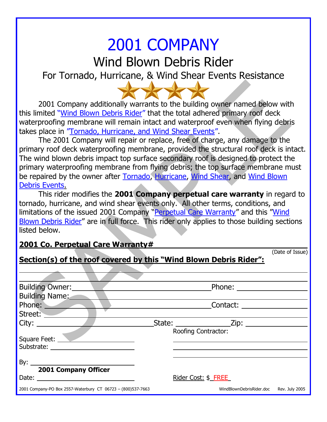## 2001 COMPANY

Wind Blown Debris Rider

For Tornado, Hurricane, & Wind Shear Events Resistance

2001 Company additionally warrants to the building owner named below with this limited "Wind Blown Debris Rider" that the total adhered primary roof deck waterproofing membrane will remain intact and waterproof even when flying debris takes place in "Tornado, Hurricane, and Wind Shear Events".

The 2001 Company will repair or replace, free of charge, any damage to the primary roof deck waterproofing membrane, provided the structural roof deck is intact. The wind blown debris impact top surface secondary roof is designed to protect the primary waterproofing membrane from flying debris; the top surface membrane must be repaired by the owner after Tornado, Hurricane, Wind Shear, and Wind Blown Debris Events.

This rider modifies the **2001 Company perpetual care warranty** in regard to tornado, hurricane, and wind shear events only. All other terms, conditions, and limitations of the issued 2001 Company "Perpetual Care Warranty" and this "Wind Blown Debris Rider" are in full force. This rider only applies to those building sections listed below.

## **2001 Co. Perpetual Care Warranty#**

|                                                                   | (Date of Issue)                         |
|-------------------------------------------------------------------|-----------------------------------------|
| Section(s) of the roof covered by this "Wind Blown Debris Rider": |                                         |
|                                                                   |                                         |
| <b>Building Owner:</b>                                            |                                         |
| <b>Building Name:</b>                                             |                                         |
| Phone:                                                            |                                         |
| Street:                                                           |                                         |
|                                                                   |                                         |
|                                                                   | <b>Roofing Contractor:</b>              |
| Square Feet:                                                      |                                         |
|                                                                   |                                         |
|                                                                   |                                         |
| <b>2001 Company Officer</b>                                       |                                         |
|                                                                   | Rider Cost: \$ FREE                     |
| 2001 Company-PO Box 2557-Waterbury CT 06723 - (800)537-7663       | WindBlownDebrisRider.doc Rev. July 2005 |